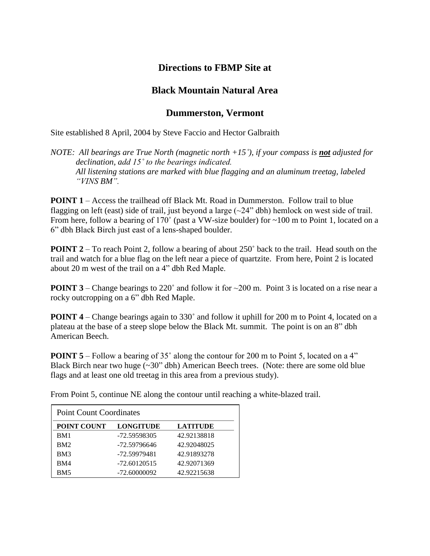## **Directions to FBMP Site at**

## **Black Mountain Natural Area**

## **Dummerston, Vermont**

Site established 8 April, 2004 by Steve Faccio and Hector Galbraith

*NOTE:* All bearings are True North (magnetic north +15<sup>°</sup>), if your compass is **not** adjusted for *declination, add 15˚ to the bearings indicated. All listening stations are marked with blue flagging and an aluminum treetag, labeled "VINS BM".*

**POINT 1** – Access the trailhead off Black Mt. Road in Dummerston. Follow trail to blue flagging on left (east) side of trail, just beyond a large  $(\sim 24$ " dbh) hemlock on west side of trail. From here, follow a bearing of 170 $^{\circ}$  (past a VW-size boulder) for  $\sim$ 100 m to Point 1, located on a 6" dbh Black Birch just east of a lens-shaped boulder.

**POINT** 2 – To reach Point 2, follow a bearing of about 250° back to the trail. Head south on the trail and watch for a blue flag on the left near a piece of quartzite. From here, Point 2 is located about 20 m west of the trail on a 4" dbh Red Maple.

**POINT 3** – Change bearings to 220 $^{\circ}$  and follow it for  $\sim$  200 m. Point 3 is located on a rise near a rocky outcropping on a 6" dbh Red Maple.

**POINT 4** – Change bearings again to 330° and follow it uphill for 200 m to Point 4, located on a plateau at the base of a steep slope below the Black Mt. summit. The point is on an 8" dbh American Beech.

**POINT 5** – Follow a bearing of 35° along the contour for 200 m to Point 5, located on a 4" Black Birch near two huge  $(\sim 30"$  dbh) American Beech trees. (Note: there are some old blue flags and at least one old treetag in this area from a previous study).

From Point 5, continue NE along the contour until reaching a white-blazed trail.

| <b>Point Count Coordinates</b> |                  |                 |
|--------------------------------|------------------|-----------------|
| <b>POINT COUNT</b>             | <b>LONGITUDE</b> | <b>LATITUDE</b> |
| BM1                            | -72.59598305     | 42.92138818     |
| <b>BM2</b>                     | -72.59796646     | 42.92048025     |
| BM3                            | -72.59979481     | 42.91893278     |
| BM4                            | $-72.60120515$   | 42.92071369     |
| BM <sub>5</sub>                | -72.60000092     | 42.92215638     |